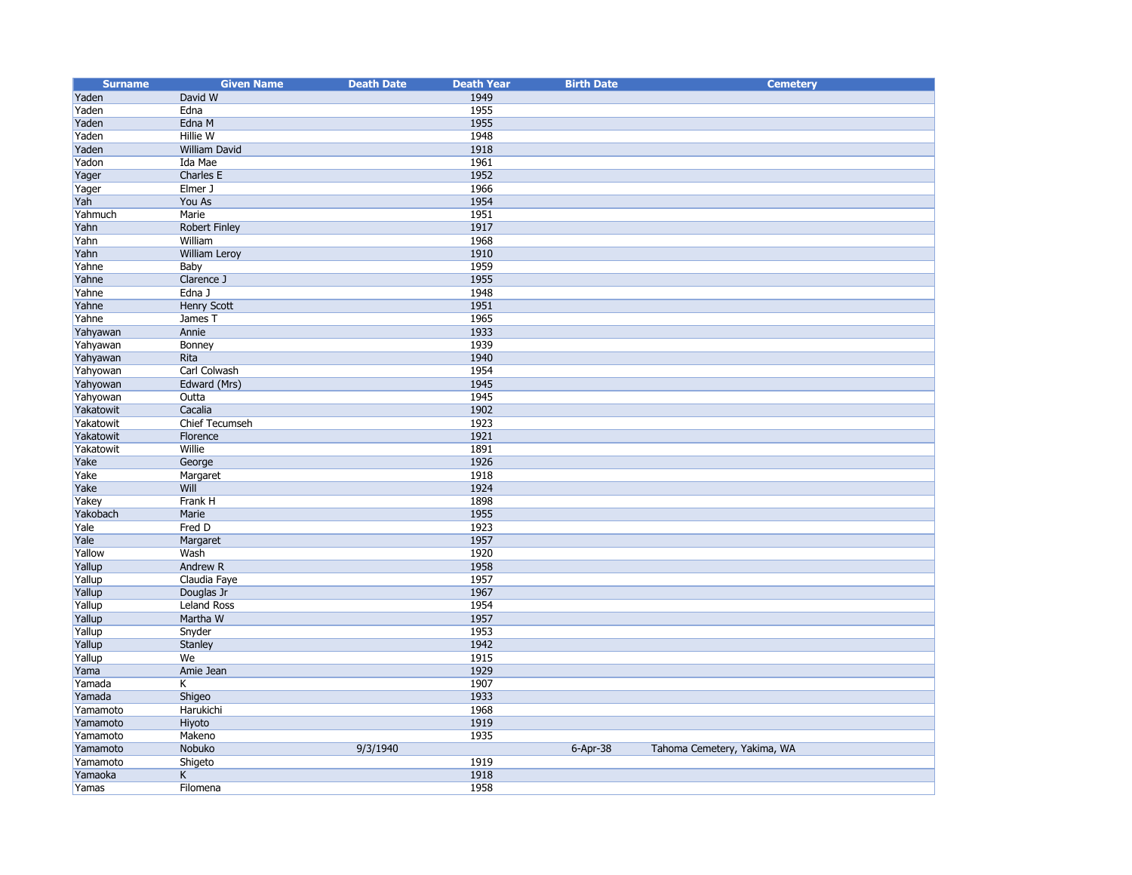| <b>Surname</b> | <b>Given Name</b>       | <b>Death Date</b> | <b>Death Year</b> | <b>Birth Date</b> | <b>Cemetery</b>             |
|----------------|-------------------------|-------------------|-------------------|-------------------|-----------------------------|
| Yaden          | David W                 |                   | 1949              |                   |                             |
| Yaden          | Edna                    |                   | 1955              |                   |                             |
| Yaden          | Edna M                  |                   | 1955              |                   |                             |
| Yaden          | Hillie W                |                   | 1948              |                   |                             |
| Yaden          | William David           |                   | 1918              |                   |                             |
| Yadon          | Ida Mae                 |                   | 1961              |                   |                             |
| Yager          | Charles E               |                   | 1952              |                   |                             |
| Yager          | Elmer J                 |                   | 1966              |                   |                             |
| Yah            | You As                  |                   | 1954              |                   |                             |
| Yahmuch        | Marie                   |                   | 1951              |                   |                             |
| Yahn           | Robert Finley           |                   | 1917              |                   |                             |
| Yahn           | William                 |                   | 1968              |                   |                             |
| Yahn           | <b>William Leroy</b>    |                   | 1910              |                   |                             |
| Yahne          | Baby                    |                   | 1959              |                   |                             |
| Yahne          | Clarence J              |                   | 1955              |                   |                             |
| Yahne          | Edna J                  |                   | 1948              |                   |                             |
| Yahne          | Henry Scott             |                   | 1951              |                   |                             |
| Yahne          | James T                 |                   | 1965              |                   |                             |
| Yahyawan       | Annie                   |                   | 1933              |                   |                             |
| Yahyawan       | Bonney                  |                   | 1939              |                   |                             |
| Yahyawan       | Rita                    |                   | 1940              |                   |                             |
| Yahyowan       | Carl Colwash            |                   | 1954              |                   |                             |
| Yahyowan       | Edward (Mrs)            |                   | 1945              |                   |                             |
| Yahyowan       | Outta                   |                   | 1945              |                   |                             |
| Yakatowit      | Cacalia                 |                   | 1902              |                   |                             |
| Yakatowit      | Chief Tecumseh          |                   | 1923              |                   |                             |
| Yakatowit      | Florence                |                   | 1921              |                   |                             |
| Yakatowit      | Willie                  |                   | 1891              |                   |                             |
| Yake           | George                  |                   | 1926              |                   |                             |
| Yake           | Margaret                |                   | 1918              |                   |                             |
| Yake           | Will                    |                   | 1924              |                   |                             |
| Yakey          | Frank H                 |                   | 1898              |                   |                             |
| Yakobach       | Marie                   |                   | 1955              |                   |                             |
| Yale           | Fred D                  |                   | 1923              |                   |                             |
| Yale           | Margaret                |                   | 1957              |                   |                             |
| Yallow         | Wash                    |                   | 1920              |                   |                             |
| Yallup         | Andrew R                |                   | 1958              |                   |                             |
| Yallup         | Claudia Faye            |                   | 1957              |                   |                             |
| Yallup         | Douglas Jr              |                   | 1967              |                   |                             |
| Yallup         | <b>Leland Ross</b>      |                   | 1954              |                   |                             |
| Yallup         | Martha W                |                   | 1957              |                   |                             |
| Yallup         | Snyder                  |                   | 1953              |                   |                             |
| Yallup         | <b>Stanley</b>          |                   | 1942              |                   |                             |
| Yallup         | We                      |                   | 1915              |                   |                             |
| Yama           | Amie Jean               |                   | 1929              |                   |                             |
| Yamada         | Κ                       |                   | 1907              |                   |                             |
| Yamada         | Shigeo                  |                   | 1933              |                   |                             |
| Yamamoto       | Harukichi               |                   | 1968              |                   |                             |
| Yamamoto       | Hiyoto                  |                   | 1919              |                   |                             |
| Yamamoto       | Makeno                  |                   | 1935              |                   |                             |
| Yamamoto       | Nobuko                  | 9/3/1940          |                   | $6 - Apr - 38$    | Tahoma Cemetery, Yakima, WA |
| Yamamoto       | Shigeto                 |                   | 1919              |                   |                             |
| Yamaoka        | $\overline{\mathsf{K}}$ |                   | 1918              |                   |                             |
| Yamas          | Filomena                |                   | 1958              |                   |                             |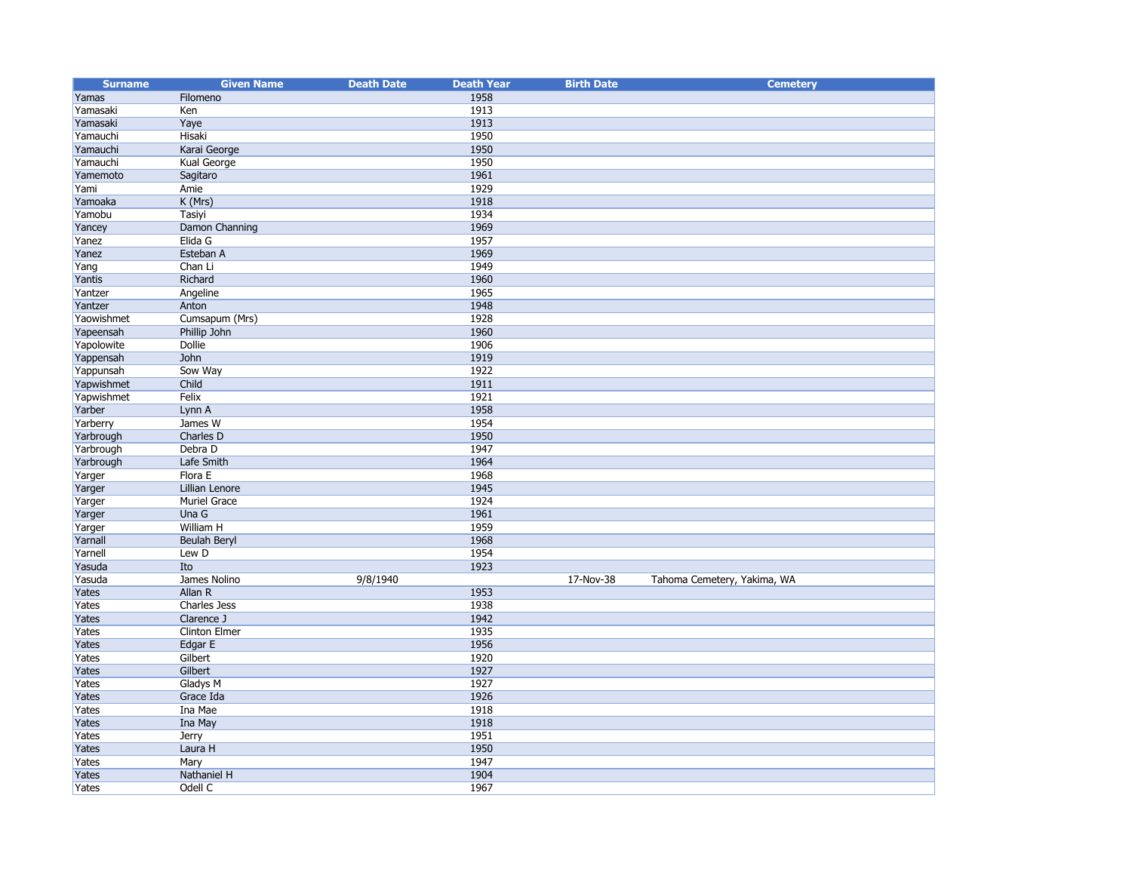| <b>Surname</b> | <b>Given Name</b>       | <b>Death Date</b> | <b>Death Year</b> | <b>Birth Date</b> | <b>Cemetery</b>             |
|----------------|-------------------------|-------------------|-------------------|-------------------|-----------------------------|
| Yamas          | Filomeno                |                   | 1958              |                   |                             |
| Yamasaki       | Ken                     |                   | 1913              |                   |                             |
| Yamasaki       | Yaye                    |                   | 1913              |                   |                             |
| Yamauchi       | Hisaki                  |                   | 1950              |                   |                             |
| Yamauchi       | Karai George            |                   | 1950              |                   |                             |
| Yamauchi       | Kual George             |                   | 1950              |                   |                             |
| Yamemoto       | Sagitaro                |                   | 1961              |                   |                             |
| Yami           | Amie                    |                   | 1929              |                   |                             |
| Yamoaka        | K (Mrs)                 |                   | 1918              |                   |                             |
| Yamobu         | Tasiyi                  |                   | 1934              |                   |                             |
| Yancey         | Damon Channing          |                   | 1969              |                   |                             |
| Yanez          | Elida G                 |                   | 1957              |                   |                             |
| Yanez          | Esteban A               |                   | 1969              |                   |                             |
| Yang           | Chan Li                 |                   | 1949              |                   |                             |
| Yantis         | Richard                 |                   | 1960              |                   |                             |
| Yantzer        | Angeline                |                   | 1965              |                   |                             |
| Yantzer        | Anton                   |                   | 1948              |                   |                             |
| Yaowishmet     | Cumsapum (Mrs)          |                   | 1928              |                   |                             |
| Yapeensah      | Phillip John            |                   | 1960              |                   |                             |
| Yapolowite     | Dollie                  |                   | 1906              |                   |                             |
| Yappensah      | John                    |                   | 1919              |                   |                             |
| Yappunsah      | Sow Way                 |                   | 1922              |                   |                             |
| Yapwishmet     | Child                   |                   | 1911              |                   |                             |
| Yapwishmet     | Felix                   |                   | 1921              |                   |                             |
| Yarber         | Lynn A                  |                   | 1958              |                   |                             |
| Yarberry       | James W                 |                   | 1954              |                   |                             |
| Yarbrough      | Charles D               |                   | 1950              |                   |                             |
| Yarbrough      | Debra D                 |                   | 1947              |                   |                             |
| Yarbrough      | Lafe Smith              |                   | 1964              |                   |                             |
|                | Flora E                 |                   | 1968              |                   |                             |
| Yarger         | Lillian Lenore          |                   | 1945              |                   |                             |
| Yarger         | Muriel Grace            |                   | 1924              |                   |                             |
| Yarger         | Una G                   |                   | 1961              |                   |                             |
| Yarger         | William H               |                   | 1959              |                   |                             |
| Yarger         |                         |                   | 1968              |                   |                             |
| Yarnall        | Beulah Beryl            |                   | 1954              |                   |                             |
| Yarnell        | Lew D                   |                   | 1923              |                   |                             |
| Yasuda         | Ito                     |                   |                   | 17-Nov-38         |                             |
| Yasuda         | James Nolino<br>Allan R | 9/8/1940          | 1953              |                   | Tahoma Cemetery, Yakima, WA |
| Yates          | Charles Jess            |                   | 1938              |                   |                             |
| Yates          |                         |                   |                   |                   |                             |
| Yates          | Clarence J              |                   | 1942<br>1935      |                   |                             |
| Yates          | Clinton Elmer           |                   |                   |                   |                             |
| Yates          | Edgar E                 |                   | 1956<br>1920      |                   |                             |
| Yates          | Gilbert                 |                   |                   |                   |                             |
| Yates          | Gilbert                 |                   | 1927              |                   |                             |
| Yates          | <b>Gladys M</b>         |                   | 1927              |                   |                             |
| Yates          | Grace Ida               |                   | 1926              |                   |                             |
| Yates          | Ina Mae                 |                   | 1918              |                   |                             |
| Yates          | Ina May                 |                   | 1918              |                   |                             |
| Yates          | <b>Jerry</b>            |                   | 1951              |                   |                             |
| Yates          | Laura H                 |                   | 1950              |                   |                             |
| Yates          | Mary                    |                   | 1947              |                   |                             |
| Yates          | Nathaniel H             |                   | 1904              |                   |                             |
| Yates          | Odell C                 |                   | 1967              |                   |                             |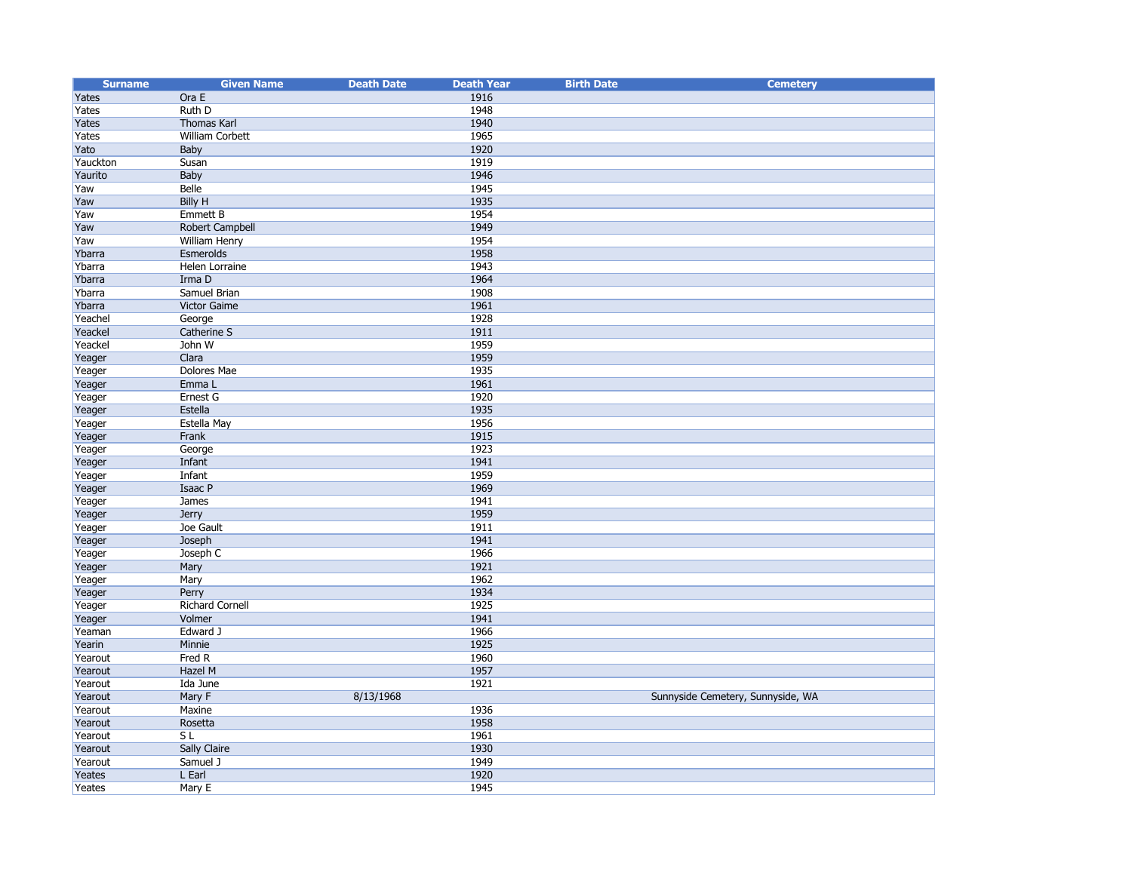| <b>Surname</b>   | <b>Given Name</b>      | <b>Death Date</b> | <b>Death Year</b> | <b>Birth Date</b> | <b>Cemetery</b>                   |
|------------------|------------------------|-------------------|-------------------|-------------------|-----------------------------------|
| Yates            | Ora E                  |                   | 1916              |                   |                                   |
| Yates            | Ruth D                 |                   | 1948              |                   |                                   |
| Yates            | Thomas Karl            |                   | 1940              |                   |                                   |
| Yates            | William Corbett        |                   | 1965              |                   |                                   |
| Yato             | Baby                   |                   | 1920              |                   |                                   |
| Yauckton         | Susan                  |                   | 1919              |                   |                                   |
| Yaurito          | Baby                   |                   | 1946              |                   |                                   |
| Yaw              | Belle                  |                   | 1945              |                   |                                   |
| Yaw              | <b>Billy H</b>         |                   | 1935              |                   |                                   |
| Yaw              | <b>Emmett B</b>        |                   | 1954              |                   |                                   |
| Yaw              | <b>Robert Campbell</b> |                   | 1949              |                   |                                   |
| Yaw              | William Henry          |                   | 1954              |                   |                                   |
| Ybarra           | Esmerolds              |                   | 1958              |                   |                                   |
| Ybarra           | Helen Lorraine         |                   | 1943              |                   |                                   |
| Ybarra           | Irma D                 |                   | 1964              |                   |                                   |
| Ybarra           | Samuel Brian           |                   | 1908              |                   |                                   |
| Ybarra           | Victor Gaime           |                   | 1961              |                   |                                   |
| Yeachel          | George                 |                   | 1928              |                   |                                   |
| Yeackel          | Catherine S            |                   | 1911              |                   |                                   |
| Yeackel          | John W                 |                   | 1959              |                   |                                   |
| Yeager           | Clara                  |                   | 1959              |                   |                                   |
| Yeager           | Dolores Mae            |                   | 1935              |                   |                                   |
| Yeager           | Emma L                 |                   | 1961              |                   |                                   |
| Yeager           | Ernest G               |                   | 1920              |                   |                                   |
| Yeager           | Estella                |                   | 1935              |                   |                                   |
| Yeager           | Estella May            |                   | 1956              |                   |                                   |
| Yeager           | Frank                  |                   | 1915<br>1923      |                   |                                   |
| Yeager<br>Yeager | George<br>Infant       |                   | 1941              |                   |                                   |
| Yeager           | Infant                 |                   | 1959              |                   |                                   |
| Yeager           | Isaac P                |                   | 1969              |                   |                                   |
| Yeager           | James                  |                   | 1941              |                   |                                   |
| Yeager           | Jerry                  |                   | 1959              |                   |                                   |
| Yeager           | Joe Gault              |                   | 1911              |                   |                                   |
| Yeager           | Joseph                 |                   | 1941              |                   |                                   |
| Yeager           | Joseph C               |                   | 1966              |                   |                                   |
| Yeager           | Mary                   |                   | 1921              |                   |                                   |
| Yeager           | Mary                   |                   | 1962              |                   |                                   |
| Yeager           | Perry                  |                   | 1934              |                   |                                   |
| Yeager           | <b>Richard Cornell</b> |                   | 1925              |                   |                                   |
| Yeager           | Volmer                 |                   | 1941              |                   |                                   |
| Yeaman           | Edward J               |                   | 1966              |                   |                                   |
| Yearin           | Minnie                 |                   | 1925              |                   |                                   |
| Yearout          | Fred R                 |                   | 1960              |                   |                                   |
| Yearout          | Hazel M                |                   | 1957              |                   |                                   |
| Yearout          | Ida June               |                   | 1921              |                   |                                   |
| Yearout          | Mary F                 | 8/13/1968         |                   |                   | Sunnyside Cemetery, Sunnyside, WA |
| Yearout          | Maxine                 |                   | 1936              |                   |                                   |
| Yearout          | Rosetta                |                   | 1958              |                   |                                   |
| Yearout          | S <sub>L</sub>         |                   | 1961              |                   |                                   |
| Yearout          | <b>Sally Claire</b>    |                   | 1930              |                   |                                   |
| Yearout          | Samuel J               |                   | 1949              |                   |                                   |
| Yeates           | L Earl                 |                   | 1920              |                   |                                   |
| Yeates           | Mary E                 |                   | 1945              |                   |                                   |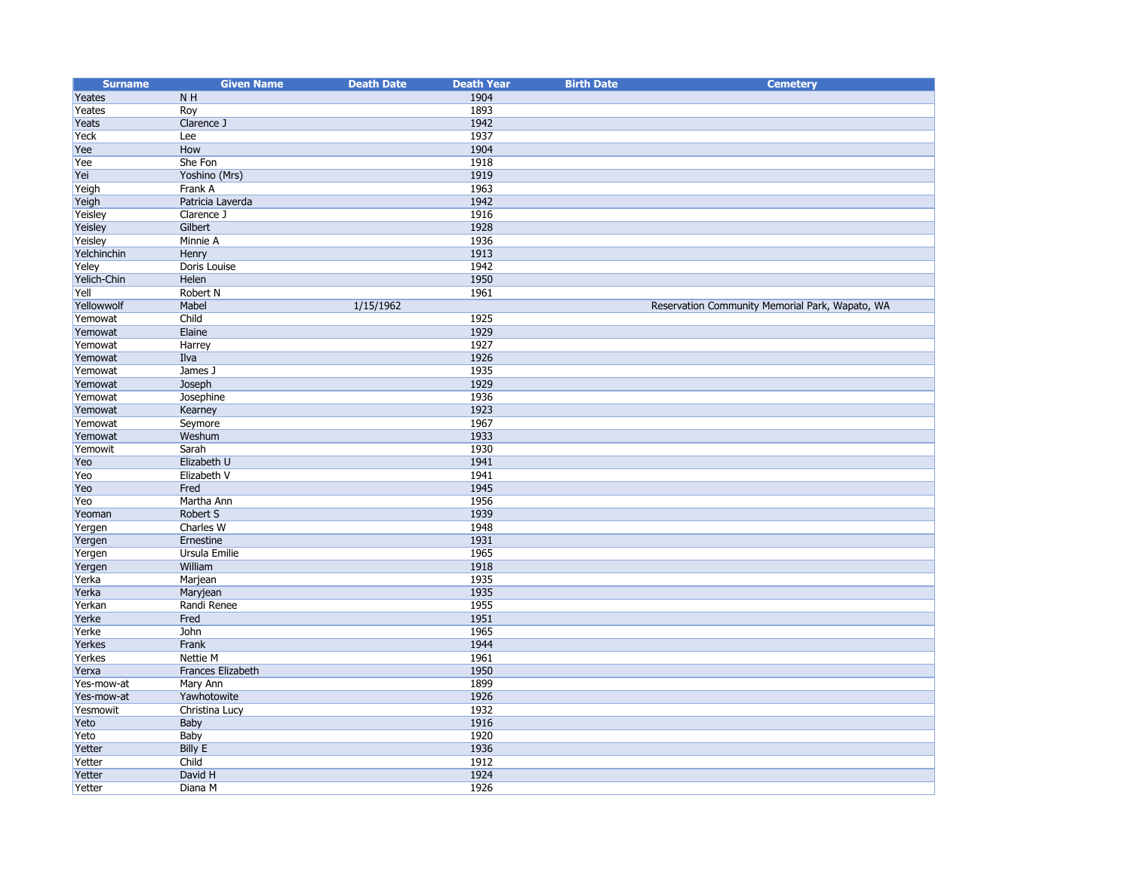| <b>Surname</b> | <b>Given Name</b> | <b>Death Date</b> | <b>Death Year</b> | <b>Birth Date</b> | <b>Cemetery</b>                                 |
|----------------|-------------------|-------------------|-------------------|-------------------|-------------------------------------------------|
| Yeates         | N <sub>H</sub>    |                   | 1904              |                   |                                                 |
| Yeates         | Roy               |                   | 1893              |                   |                                                 |
| Yeats          | Clarence J        |                   | 1942              |                   |                                                 |
| Yeck           | Lee               |                   | 1937              |                   |                                                 |
| Yee            | How               |                   | 1904              |                   |                                                 |
| Yee            | She Fon           |                   | 1918              |                   |                                                 |
| Yei            | Yoshino (Mrs)     |                   | 1919              |                   |                                                 |
| Yeigh          | Frank A           |                   | 1963              |                   |                                                 |
| Yeigh          | Patricia Laverda  |                   | 1942              |                   |                                                 |
| Yeisley        | Clarence J        |                   | 1916              |                   |                                                 |
| Yeisley        | Gilbert           |                   | 1928              |                   |                                                 |
| Yeisley        | Minnie A          |                   | 1936              |                   |                                                 |
| Yelchinchin    | Henry             |                   | 1913              |                   |                                                 |
| Yeley          | Doris Louise      |                   | 1942              |                   |                                                 |
| Yelich-Chin    | Helen             |                   | 1950              |                   |                                                 |
| Yell           | Robert N          |                   | 1961              |                   |                                                 |
| Yellowwolf     | Mabel             | 1/15/1962         |                   |                   | Reservation Community Memorial Park, Wapato, WA |
| Yemowat        | Child             |                   | 1925              |                   |                                                 |
| Yemowat        | Elaine            |                   | 1929              |                   |                                                 |
| Yemowat        | Harrey            |                   | 1927              |                   |                                                 |
| Yemowat        | Ilva              |                   | 1926              |                   |                                                 |
| Yemowat        | James J           |                   | 1935              |                   |                                                 |
| Yemowat        | Joseph            |                   | 1929              |                   |                                                 |
| Yemowat        | Josephine         |                   | 1936              |                   |                                                 |
| Yemowat        | Kearney           |                   | 1923              |                   |                                                 |
| Yemowat        | Seymore           |                   | 1967              |                   |                                                 |
| Yemowat        | Weshum            |                   | 1933              |                   |                                                 |
| Yemowit        | Sarah             |                   | 1930              |                   |                                                 |
| Yeo            | Elizabeth U       |                   | 1941              |                   |                                                 |
| Yeo            | Elizabeth V       |                   | 1941              |                   |                                                 |
| Yeo            | Fred              |                   | 1945              |                   |                                                 |
| Yeo            | Martha Ann        |                   | 1956              |                   |                                                 |
| Yeoman         | Robert S          |                   | 1939              |                   |                                                 |
| Yergen         | Charles W         |                   | 1948              |                   |                                                 |
| Yergen         | Ernestine         |                   | 1931              |                   |                                                 |
| Yergen         | Ursula Emilie     |                   | 1965              |                   |                                                 |
| Yergen         | William           |                   | 1918              |                   |                                                 |
| Yerka          | Marjean           |                   | 1935              |                   |                                                 |
| Yerka          | Maryjean          |                   | 1935              |                   |                                                 |
| Yerkan         | Randi Renee       |                   | 1955              |                   |                                                 |
| Yerke          | Fred              |                   | 1951              |                   |                                                 |
| Yerke          | John              |                   | 1965              |                   |                                                 |
| Yerkes         | Frank             |                   | 1944              |                   |                                                 |
| Yerkes         | Nettie M          |                   | 1961              |                   |                                                 |
| Yerxa          | Frances Elizabeth |                   | 1950              |                   |                                                 |
| Yes-mow-at     | Mary Ann          |                   | 1899              |                   |                                                 |
| Yes-mow-at     | Yawhotowite       |                   | 1926              |                   |                                                 |
| Yesmowit       | Christina Lucy    |                   | 1932              |                   |                                                 |
| Yeto           | Baby              |                   | 1916              |                   |                                                 |
| Yeto           | Baby              |                   | 1920              |                   |                                                 |
| Yetter         | <b>Billy E</b>    |                   | 1936              |                   |                                                 |
| Yetter         | Child             |                   | 1912              |                   |                                                 |
| Yetter         | David H           |                   | 1924              |                   |                                                 |
| Yetter         | Diana M           |                   | 1926              |                   |                                                 |
|                |                   |                   |                   |                   |                                                 |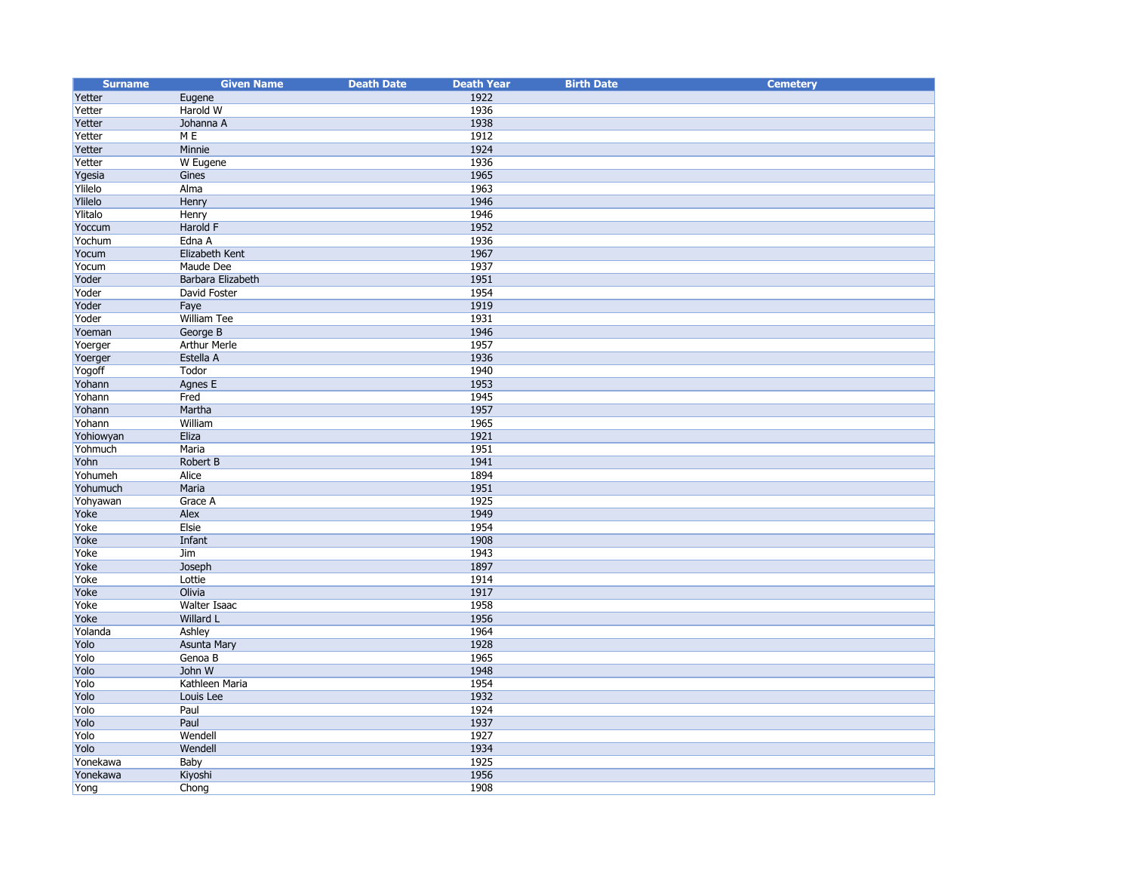| <b>Surname</b> | <b>Given Name</b>   | <b>Death Date</b> | <b>Death Year</b> | <b>Birth Date</b> | <b>Cemetery</b> |
|----------------|---------------------|-------------------|-------------------|-------------------|-----------------|
| Yetter         | Eugene              |                   | 1922              |                   |                 |
| Yetter         | Harold W            |                   | 1936              |                   |                 |
| Yetter         | Johanna A           |                   | 1938              |                   |                 |
| Yetter         | M E                 |                   | 1912              |                   |                 |
| Yetter         | Minnie              |                   | 1924              |                   |                 |
| Yetter         | W Eugene            |                   | 1936              |                   |                 |
| Ygesia         | Gines               |                   | 1965              |                   |                 |
| Ylilelo        | Alma                |                   | 1963              |                   |                 |
| Ylilelo        | Henry               |                   | 1946              |                   |                 |
| Ylitalo        | Henry               |                   | 1946              |                   |                 |
| Yoccum         | Harold F            |                   | 1952              |                   |                 |
| Yochum         | Edna A              |                   | 1936              |                   |                 |
| Yocum          | Elizabeth Kent      |                   | 1967              |                   |                 |
| Yocum          | Maude Dee           |                   | 1937              |                   |                 |
| Yoder          | Barbara Elizabeth   |                   | 1951              |                   |                 |
| Yoder          | David Foster        |                   | 1954              |                   |                 |
| Yoder          | Faye                |                   | 1919              |                   |                 |
| Yoder          | William Tee         |                   | 1931              |                   |                 |
| Yoeman         | George B            |                   | 1946              |                   |                 |
| Yoerger        | <b>Arthur Merle</b> |                   | 1957              |                   |                 |
| Yoerger        | Estella A           |                   | 1936              |                   |                 |
| Yogoff         | Todor               |                   | 1940              |                   |                 |
| Yohann         | Agnes E             |                   | 1953              |                   |                 |
| Yohann         | Fred                |                   | 1945              |                   |                 |
| Yohann         | Martha              |                   | 1957              |                   |                 |
| Yohann         | William             |                   | 1965              |                   |                 |
| Yohiowyan      | Eliza               |                   | 1921              |                   |                 |
| Yohmuch        | Maria               |                   | 1951              |                   |                 |
| Yohn           | Robert B            |                   | 1941              |                   |                 |
| Yohumeh        | Alice               |                   | 1894              |                   |                 |
| Yohumuch       | Maria               |                   | 1951              |                   |                 |
| Yohyawan       | Grace A             |                   | 1925              |                   |                 |
| Yoke           | Alex                |                   | 1949              |                   |                 |
| Yoke           | Elsie               |                   | 1954              |                   |                 |
| Yoke           | Infant              |                   | 1908              |                   |                 |
| Yoke           | Jim                 |                   | 1943              |                   |                 |
| Yoke           | Joseph              |                   | 1897              |                   |                 |
| Yoke           | Lottie              |                   | 1914              |                   |                 |
| Yoke           | Olivia              |                   | 1917              |                   |                 |
| Yoke           | Walter Isaac        |                   | 1958              |                   |                 |
| Yoke           | Willard L           |                   | 1956              |                   |                 |
| Yolanda        | Ashley              |                   | 1964              |                   |                 |
| Yolo           | <b>Asunta Mary</b>  |                   | 1928              |                   |                 |
| Yolo           | Genoa B             |                   | 1965              |                   |                 |
| Yolo           | John W              |                   | 1948              |                   |                 |
| Yolo           | Kathleen Maria      |                   | 1954              |                   |                 |
| Yolo           | Louis Lee           |                   | 1932              |                   |                 |
| Yolo           | Paul                |                   | 1924              |                   |                 |
| Yolo           | Paul                |                   | 1937              |                   |                 |
| Yolo           | Wendell             |                   | 1927              |                   |                 |
| Yolo           | Wendell             |                   | 1934              |                   |                 |
| Yonekawa       | Baby                |                   | 1925              |                   |                 |
| Yonekawa       | Kiyoshi             |                   | 1956              |                   |                 |
| Yong           | Chong               |                   | 1908              |                   |                 |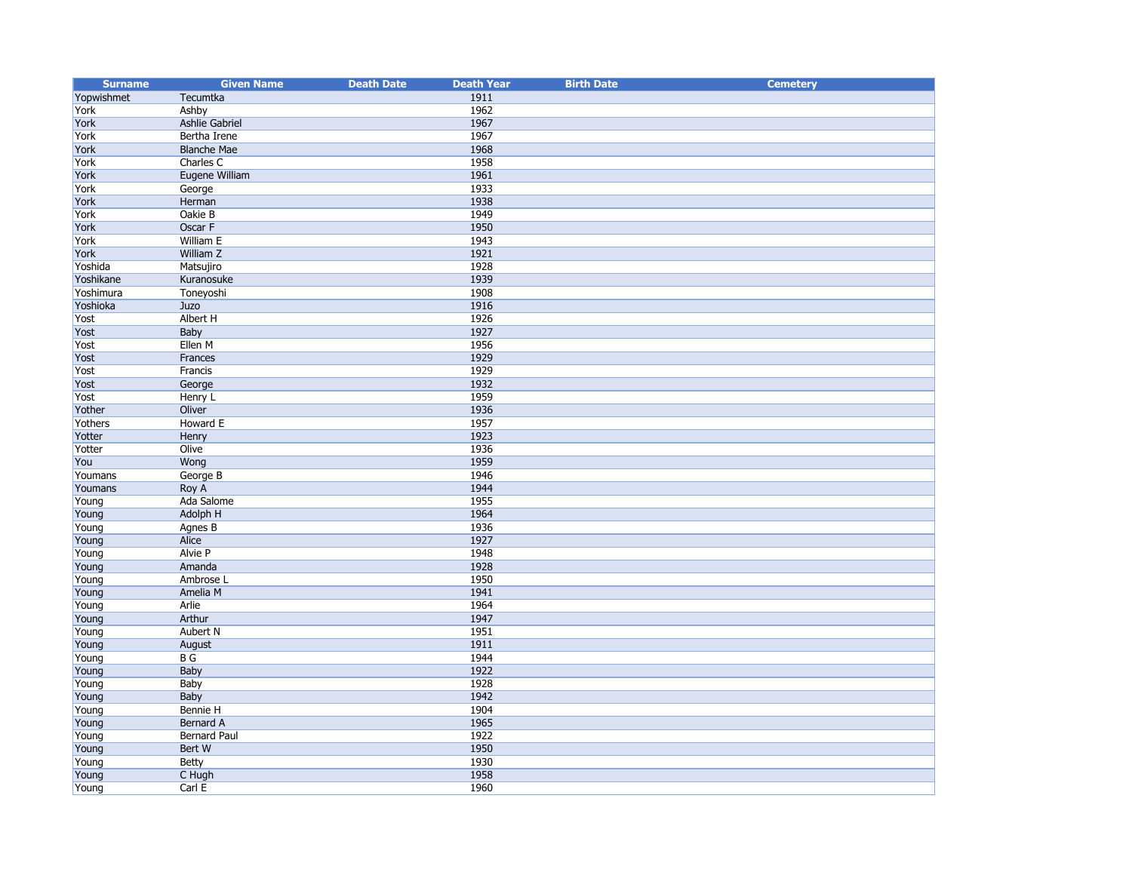| <b>Surname</b> | <b>Given Name</b>   | <b>Death Date</b> | <b>Death Year</b> | <b>Birth Date</b> | <b>Cemetery</b> |
|----------------|---------------------|-------------------|-------------------|-------------------|-----------------|
| Yopwishmet     | Tecumtka            |                   | 1911              |                   |                 |
| York           | Ashby               |                   | 1962              |                   |                 |
| York           | Ashlie Gabriel      |                   | 1967              |                   |                 |
| York           | Bertha Irene        |                   | 1967              |                   |                 |
| York           | <b>Blanche Mae</b>  |                   | 1968              |                   |                 |
| York           | Charles C           |                   | 1958              |                   |                 |
| York           | Eugene William      |                   | 1961              |                   |                 |
| York           | George              |                   | 1933              |                   |                 |
| York           | Herman              |                   | 1938              |                   |                 |
| York           | Oakie B             |                   | 1949              |                   |                 |
| York           | Oscar F             |                   | 1950              |                   |                 |
| York           | William E           |                   | 1943              |                   |                 |
| York           | William Z           |                   | 1921              |                   |                 |
| Yoshida        | Matsujiro           |                   | 1928              |                   |                 |
| Yoshikane      | Kuranosuke          |                   | 1939              |                   |                 |
| Yoshimura      | Toneyoshi           |                   | 1908              |                   |                 |
| Yoshioka       | Juzo                |                   | 1916              |                   |                 |
| Yost           | Albert H            |                   | 1926              |                   |                 |
| Yost           | Baby                |                   | 1927              |                   |                 |
| Yost           | Ellen M             |                   | 1956              |                   |                 |
| Yost           | Frances             |                   | 1929              |                   |                 |
| Yost           | Francis             |                   | 1929              |                   |                 |
| Yost           | George              |                   | 1932              |                   |                 |
| Yost           | Henry L             |                   | 1959              |                   |                 |
| Yother         | Oliver              |                   | 1936              |                   |                 |
| Yothers        | Howard E            |                   | 1957              |                   |                 |
| Yotter         | Henry               |                   | 1923              |                   |                 |
| Yotter         | Olive               |                   | 1936              |                   |                 |
| You            | Wong                |                   | 1959              |                   |                 |
| Youmans        | George B            |                   | 1946              |                   |                 |
| Youmans        | Roy A               |                   | 1944              |                   |                 |
| Young          | Ada Salome          |                   | 1955              |                   |                 |
| Young          | <b>Adolph H</b>     |                   | 1964              |                   |                 |
| Young          | Agnes B             |                   | 1936              |                   |                 |
| Young          | Alice               |                   | 1927              |                   |                 |
| Young          | <b>Alvie P</b>      |                   | 1948              |                   |                 |
| Young          | Amanda              |                   | 1928              |                   |                 |
| Young          | Ambrose L           |                   | 1950              |                   |                 |
| Young          | Amelia M            |                   | 1941              |                   |                 |
| Young          | Arlie               |                   | 1964              |                   |                 |
| Young          | Arthur              |                   | 1947              |                   |                 |
| Young          | Aubert N            |                   | 1951              |                   |                 |
| Young          | August              |                   | 1911              |                   |                 |
| Young          | B G                 |                   | 1944              |                   |                 |
| Young          | Baby                |                   | 1922              |                   |                 |
| Young          | Baby                |                   | 1928              |                   |                 |
| Young          | Baby                |                   | 1942              |                   |                 |
| Young          | Bennie H            |                   | 1904              |                   |                 |
| Young          | Bernard A           |                   | 1965              |                   |                 |
| Young          | <b>Bernard Paul</b> |                   | 1922              |                   |                 |
| Young          | Bert W              |                   | 1950              |                   |                 |
| Young          | Betty               |                   | 1930              |                   |                 |
| Young          | C Hugh              |                   | 1958              |                   |                 |
| Young          | Carl E              |                   | 1960              |                   |                 |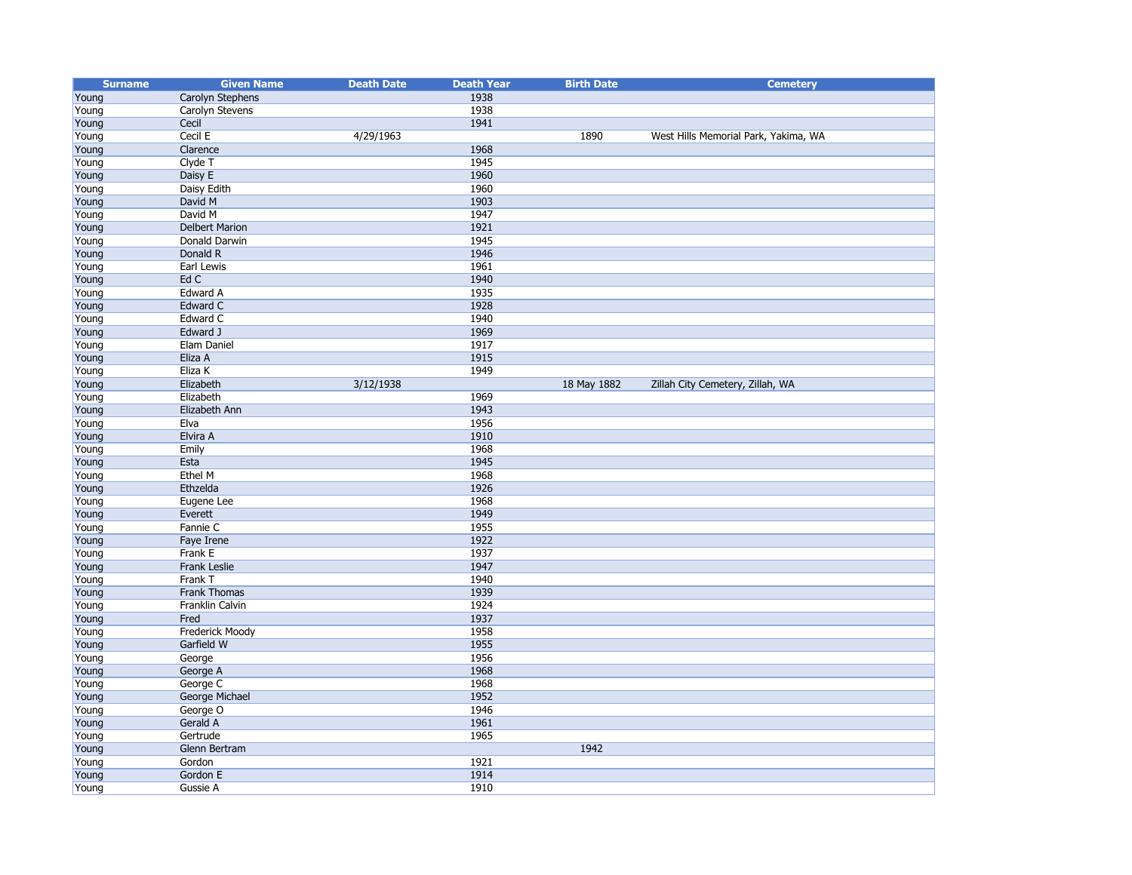| <b>Surname</b> | <b>Given Name</b>     | <b>Death Date</b> | <b>Death Year</b> | <b>Birth Date</b> | <b>Cemetery</b>                      |
|----------------|-----------------------|-------------------|-------------------|-------------------|--------------------------------------|
| Young          | Carolyn Stephens      |                   | 1938              |                   |                                      |
| Young          | Carolyn Stevens       |                   | 1938              |                   |                                      |
| Young          | Cecil                 |                   | 1941              |                   |                                      |
| Young          | Cecil E               | 4/29/1963         |                   | 1890              | West Hills Memorial Park, Yakima, WA |
| Young          | Clarence              |                   | 1968              |                   |                                      |
| Young          | Clyde T               |                   | 1945              |                   |                                      |
| Young          | Daisy E               |                   | 1960              |                   |                                      |
| Young          | Daisy Edith           |                   | 1960              |                   |                                      |
| Young          | David M               |                   | 1903              |                   |                                      |
| Young          | David M               |                   | 1947              |                   |                                      |
| Young          | <b>Delbert Marion</b> |                   | 1921              |                   |                                      |
| Young          | Donald Darwin         |                   | 1945              |                   |                                      |
| Young          | Donald R              |                   | 1946              |                   |                                      |
| Young          | Earl Lewis            |                   | 1961              |                   |                                      |
| Young          | Ed C                  |                   | 1940              |                   |                                      |
| Young          | Edward A              |                   | 1935              |                   |                                      |
| Young          | Edward C              |                   | 1928              |                   |                                      |
| Young          | Edward C              |                   | 1940              |                   |                                      |
| Young          | Edward J              |                   | 1969              |                   |                                      |
| Young          | Elam Daniel           |                   | 1917              |                   |                                      |
| Young          | Eliza A               |                   | 1915              |                   |                                      |
| Young          | Eliza K               |                   | 1949              |                   |                                      |
| Young          | Elizabeth             | 3/12/1938         |                   | 18 May 1882       | Zillah City Cemetery, Zillah, WA     |
| Young          | Elizabeth             |                   | 1969              |                   |                                      |
| Young          | Elizabeth Ann         |                   | 1943              |                   |                                      |
| Young          | Elva                  |                   | 1956              |                   |                                      |
| Young          | Elvira A              |                   | 1910              |                   |                                      |
| Young          | Emily                 |                   | 1968              |                   |                                      |
| Young          | Esta                  |                   | 1945              |                   |                                      |
| Young          | Ethel M               |                   | 1968              |                   |                                      |
| Young          | Ethzelda              |                   | 1926              |                   |                                      |
| Young          | Eugene Lee            |                   | 1968              |                   |                                      |
| Young          | Everett               |                   | 1949              |                   |                                      |
| Young          | Fannie C              |                   | 1955              |                   |                                      |
| Young          | Faye Irene            |                   | 1922              |                   |                                      |
| Young          | Frank E               |                   | 1937              |                   |                                      |
| Young          | Frank Leslie          |                   | 1947              |                   |                                      |
| Young          | Frank T               |                   | 1940              |                   |                                      |
| Young          | Frank Thomas          |                   | 1939              |                   |                                      |
| Young          | Franklin Calvin       |                   | 1924              |                   |                                      |
| Young          | Fred                  |                   | 1937              |                   |                                      |
| Young          | Frederick Moody       |                   | 1958              |                   |                                      |
| Young          | Garfield W            |                   | 1955              |                   |                                      |
| Young          | George                |                   | 1956              |                   |                                      |
| Young          | George A              |                   | 1968              |                   |                                      |
| Young          | George C              |                   | 1968              |                   |                                      |
| Young          | George Michael        |                   | 1952              |                   |                                      |
| Young          | George O              |                   | 1946              |                   |                                      |
| Young          | Gerald A              |                   | 1961              |                   |                                      |
| Young          | Gertrude              |                   | 1965              |                   |                                      |
| Young          | Glenn Bertram         |                   |                   | 1942              |                                      |
| Young          | Gordon                |                   | 1921              |                   |                                      |
| Young          | Gordon E              |                   | 1914              |                   |                                      |
| Young          | Gussie A              |                   | 1910              |                   |                                      |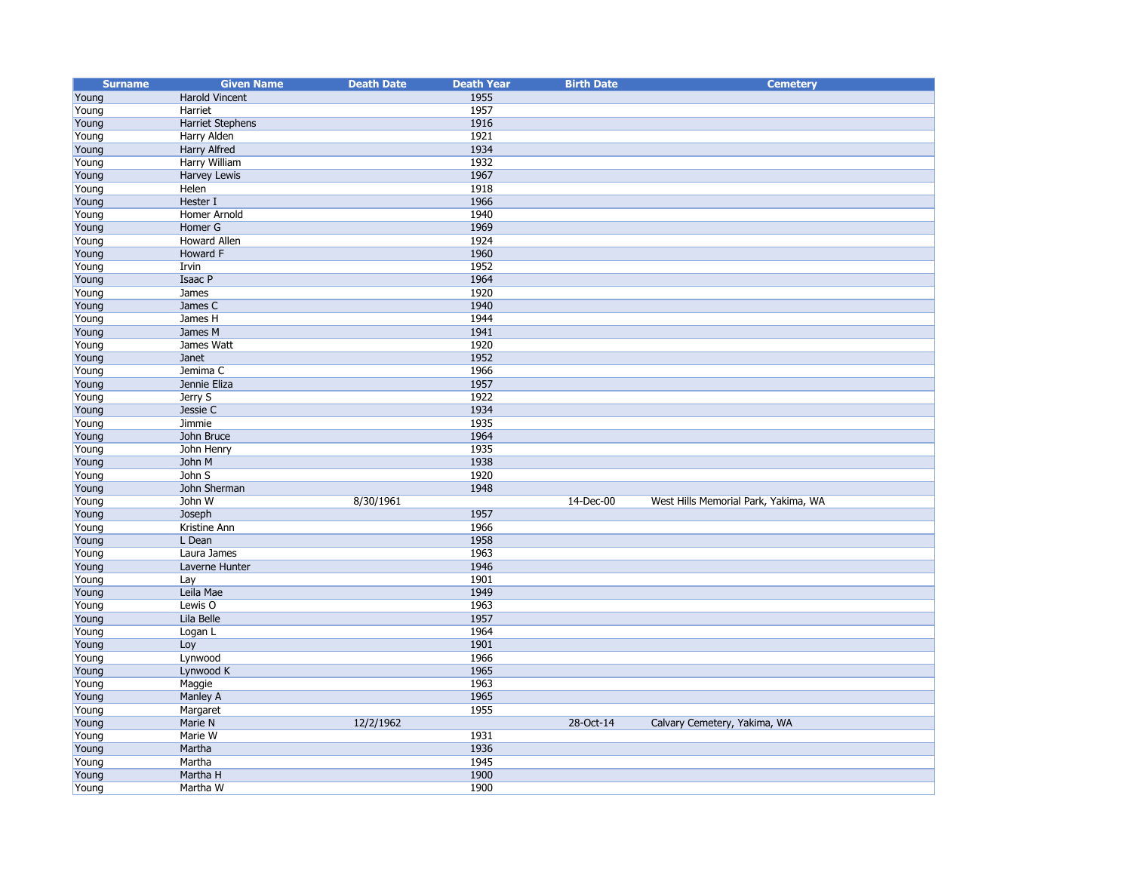| <b>Surname</b> | <b>Given Name</b>       | <b>Death Date</b> | <b>Death Year</b> | <b>Birth Date</b> | <b>Cemetery</b>                      |
|----------------|-------------------------|-------------------|-------------------|-------------------|--------------------------------------|
| Young          | Harold Vincent          |                   | 1955              |                   |                                      |
| Young          | Harriet                 |                   | 1957              |                   |                                      |
| Young          | <b>Harriet Stephens</b> |                   | 1916              |                   |                                      |
| Young          | Harry Alden             |                   | 1921              |                   |                                      |
| Young          | Harry Alfred            |                   | 1934              |                   |                                      |
| Young          | Harry William           |                   | 1932              |                   |                                      |
| Young          | Harvey Lewis            |                   | 1967              |                   |                                      |
| Young          | Helen                   |                   | 1918              |                   |                                      |
| Young          | Hester I                |                   | 1966              |                   |                                      |
| Young          | Homer Arnold            |                   | 1940              |                   |                                      |
| Young          | Homer G                 |                   | 1969              |                   |                                      |
| Young          | Howard Allen            |                   | 1924              |                   |                                      |
| Young          | Howard F                |                   | 1960              |                   |                                      |
| Young          | Irvin                   |                   | 1952              |                   |                                      |
| Young          | Isaac P                 |                   | 1964              |                   |                                      |
| Young          | James                   |                   | 1920              |                   |                                      |
| Young          | James C                 |                   | 1940              |                   |                                      |
| Young          | James H                 |                   | 1944              |                   |                                      |
| Young          | James M                 |                   | 1941              |                   |                                      |
| Young          | James Watt              |                   | 1920              |                   |                                      |
| Young          | Janet                   |                   | 1952              |                   |                                      |
| Young          | Jemima C                |                   | 1966              |                   |                                      |
| Young          | Jennie Eliza            |                   | 1957              |                   |                                      |
| Young          | Jerry S                 |                   | 1922              |                   |                                      |
| Young          | Jessie C                |                   | 1934              |                   |                                      |
| Young          | Jimmie                  |                   | 1935              |                   |                                      |
| Young          | John Bruce              |                   | 1964              |                   |                                      |
| Young          | John Henry              |                   | 1935              |                   |                                      |
| Young          | John M                  |                   | 1938              |                   |                                      |
| Young          | John S                  |                   | 1920              |                   |                                      |
| Young          | John Sherman            |                   | 1948              |                   |                                      |
| Young          | John W                  | 8/30/1961         |                   | 14-Dec-00         | West Hills Memorial Park, Yakima, WA |
| Young          | Joseph                  |                   | 1957              |                   |                                      |
| Young          | Kristine Ann            |                   | 1966              |                   |                                      |
| Young          | L Dean                  |                   | 1958              |                   |                                      |
| Young          | Laura James             |                   | 1963              |                   |                                      |
| Young          | Laverne Hunter          |                   | 1946              |                   |                                      |
| Young          | Lay                     |                   | 1901              |                   |                                      |
| Young          | Leila Mae               |                   | 1949              |                   |                                      |
| Young          | Lewis O                 |                   | 1963              |                   |                                      |
| Young          | Lila Belle              |                   | 1957              |                   |                                      |
| Young          | Logan L                 |                   | 1964              |                   |                                      |
| Young          | Loy                     |                   | 1901              |                   |                                      |
| Young          | Lynwood                 |                   | 1966              |                   |                                      |
| Young          | Lynwood K               |                   | 1965              |                   |                                      |
| Young          | Maggie                  |                   | 1963              |                   |                                      |
| Young          | Manley A                |                   | 1965              |                   |                                      |
| Young          | Margaret                |                   | 1955              |                   |                                      |
| Young          | Marie N                 | 12/2/1962         |                   | 28-Oct-14         | Calvary Cemetery, Yakima, WA         |
| Young          | Marie W                 |                   | 1931              |                   |                                      |
| Young          | Martha                  |                   | 1936              |                   |                                      |
| Young          | Martha                  |                   | 1945              |                   |                                      |
| Young          | Martha H                |                   | 1900              |                   |                                      |
| Young          | Martha W                |                   | 1900              |                   |                                      |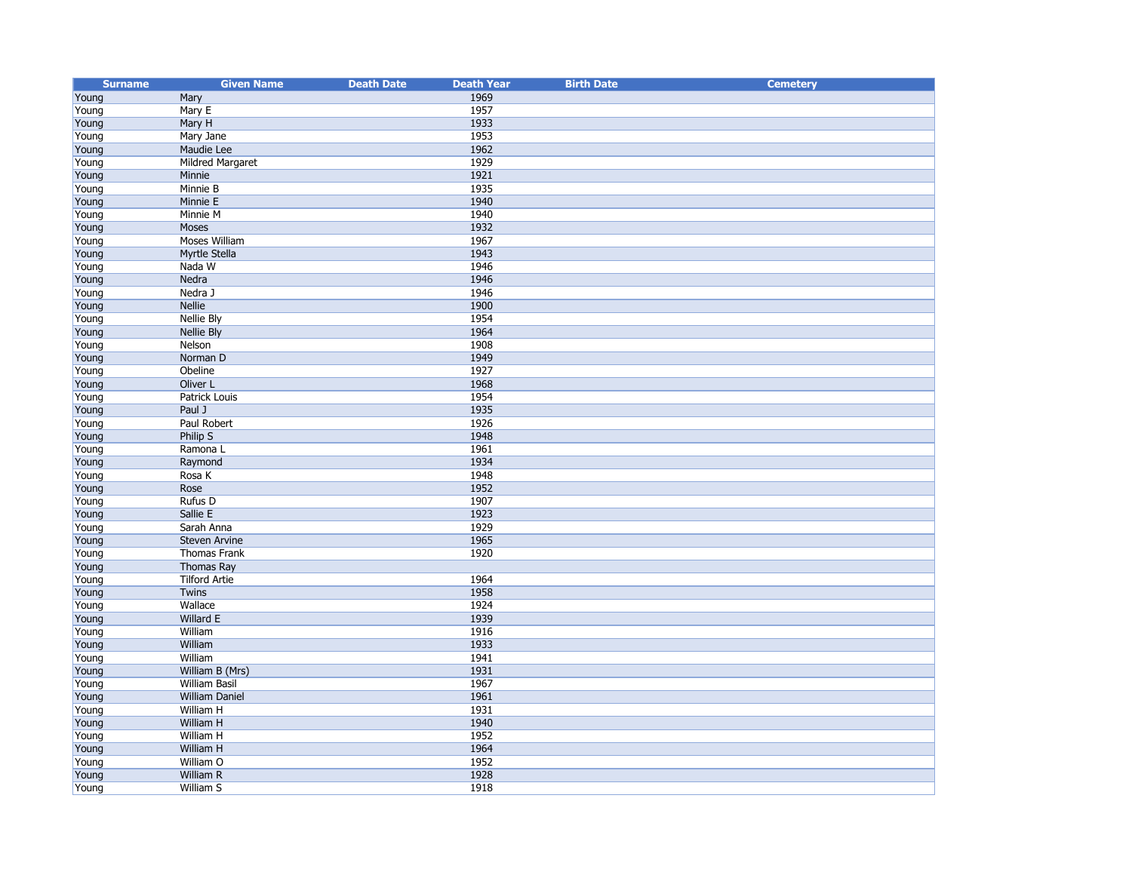| <b>Surname</b> | <b>Given Name</b>     | <b>Death Date</b> | <b>Death Year</b> | <b>Birth Date</b> | <b>Cemetery</b> |
|----------------|-----------------------|-------------------|-------------------|-------------------|-----------------|
| Young          | Mary                  |                   | 1969              |                   |                 |
| Young          | Mary E                |                   | 1957              |                   |                 |
| Young          | Mary H                |                   | 1933              |                   |                 |
| Young          | Mary Jane             |                   | 1953              |                   |                 |
| Young          | Maudie Lee            |                   | 1962              |                   |                 |
| Young          | Mildred Margaret      |                   | 1929              |                   |                 |
| Young          | Minnie                |                   | 1921              |                   |                 |
| Young          | Minnie B              |                   | 1935              |                   |                 |
| Young          | Minnie E              |                   | 1940              |                   |                 |
| Young          | Minnie M              |                   | 1940              |                   |                 |
| Young          | Moses                 |                   | 1932              |                   |                 |
| Young          | Moses William         |                   | 1967              |                   |                 |
| Young          | Myrtle Stella         |                   | 1943              |                   |                 |
| Young          | Nada W                |                   | 1946              |                   |                 |
| Young          | Nedra                 |                   | 1946              |                   |                 |
| Young          | Nedra J               |                   | 1946              |                   |                 |
| Young          | <b>Nellie</b>         |                   | 1900              |                   |                 |
| Young          | <b>Nellie Bly</b>     |                   | 1954              |                   |                 |
| Young          | <b>Nellie Bly</b>     |                   | 1964              |                   |                 |
| Young          | Nelson                |                   | 1908              |                   |                 |
| Young          | Norman D              |                   | 1949              |                   |                 |
| Young          | Obeline               |                   | 1927              |                   |                 |
| Young          | Oliver L              |                   | 1968              |                   |                 |
| Young          | Patrick Louis         |                   | 1954              |                   |                 |
| Young          | Paul J                |                   | 1935              |                   |                 |
| Young          | Paul Robert           |                   | 1926              |                   |                 |
| Young          | Philip S              |                   | 1948              |                   |                 |
| Young          | Ramona L              |                   | 1961              |                   |                 |
| Young          | Raymond               |                   | 1934              |                   |                 |
| Young          | Rosa K                |                   | 1948              |                   |                 |
| Young          | Rose                  |                   | 1952              |                   |                 |
| Young          | Rufus D               |                   | 1907              |                   |                 |
| Young          | Sallie E              |                   | 1923              |                   |                 |
| Young          | Sarah Anna            |                   | 1929              |                   |                 |
| Young          | Steven Arvine         |                   | 1965              |                   |                 |
| Young          | Thomas Frank          |                   | 1920              |                   |                 |
| Young          | Thomas Ray            |                   |                   |                   |                 |
| Young          | <b>Tilford Artie</b>  |                   | 1964              |                   |                 |
| Young          | Twins                 |                   | 1958              |                   |                 |
| Young          | Wallace               |                   | 1924              |                   |                 |
| Young          | Willard E             |                   | 1939              |                   |                 |
| Young          | William               |                   | 1916              |                   |                 |
| Young          | William               |                   | 1933              |                   |                 |
| Young          | William               |                   | 1941              |                   |                 |
| Young          | William B (Mrs)       |                   | 1931              |                   |                 |
| Young          | <b>William Basil</b>  |                   | 1967              |                   |                 |
| Young          | <b>William Daniel</b> |                   | 1961              |                   |                 |
| Young          | William H             |                   | 1931              |                   |                 |
| Young          | William H             |                   | 1940              |                   |                 |
| Young          | William H             |                   | 1952              |                   |                 |
| Young          | William H             |                   | 1964              |                   |                 |
| Young          | William O             |                   | 1952              |                   |                 |
| Young          | William R             |                   | 1928              |                   |                 |
| Young          | William S             |                   | 1918              |                   |                 |